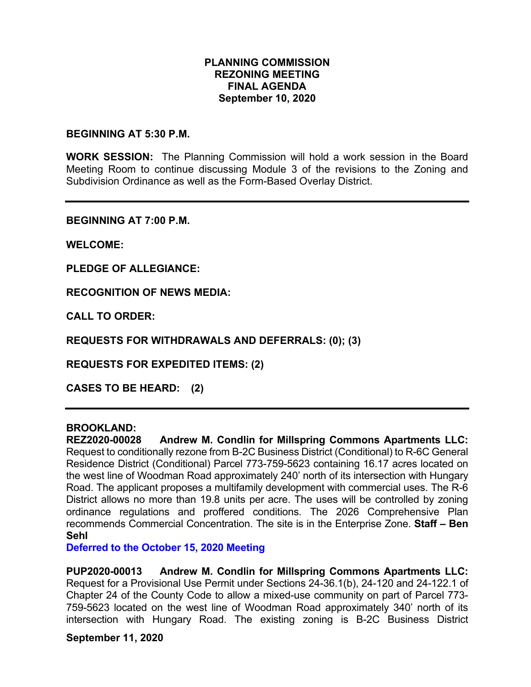#### **PLANNING COMMISSION REZONING MEETING FINAL AGENDA September 10, 2020**

#### **BEGINNING AT 5:30 P.M.**

**WORK SESSION:** The Planning Commission will hold a work session in the Board Meeting Room to continue discussing Module 3 of the revisions to the Zoning and Subdivision Ordinance as well as the Form-Based Overlay District.

**BEGINNING AT 7:00 P.M.**

**WELCOME:**

**PLEDGE OF ALLEGIANCE:**

**RECOGNITION OF NEWS MEDIA:**

**CALL TO ORDER:**

**REQUESTS FOR WITHDRAWALS AND DEFERRALS: (0); (3)**

**REQUESTS FOR EXPEDITED ITEMS: (2)**

**CASES TO BE HEARD: (2)**

# **BROOKLAND:**

**REZ2020-00028 Andrew M. Condlin for Millspring Commons Apartments LLC:** Request to conditionally rezone from B-2C Business District (Conditional) to R-6C General Residence District (Conditional) Parcel 773-759-5623 containing 16.17 acres located on the west line of Woodman Road approximately 240' north of its intersection with Hungary Road. The applicant proposes a multifamily development with commercial uses. The R-6 District allows no more than 19.8 units per acre. The uses will be controlled by zoning ordinance regulations and proffered conditions. The 2026 Comprehensive Plan recommends Commercial Concentration. The site is in the Enterprise Zone. **Staff – Ben Sehl**

**Deferred to the October 15, 2020 Meeting**

**PUP2020-00013 Andrew M. Condlin for Millspring Commons Apartments LLC:** Request for a Provisional Use Permit under Sections 24-36.1(b), 24-120 and 24-122.1 of Chapter 24 of the County Code to allow a mixed-use community on part of Parcel 773- 759-5623 located on the west line of Woodman Road approximately 340' north of its intersection with Hungary Road. The existing zoning is B-2C Business District

**September 11, 2020**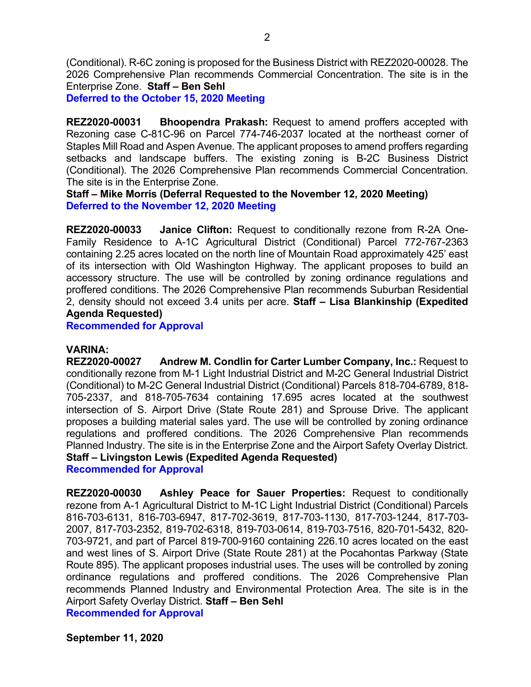(Conditional). R-6C zoning is proposed for the Business District with REZ2020-00028. The 2026 Comprehensive Plan recommends Commercial Concentration. The site is in the Enterprise Zone. **Staff – Ben Sehl**

**Deferred to the October 15, 2020 Meeting**

**REZ2020-00031 Bhoopendra Prakash:** Request to amend proffers accepted with Rezoning case C-81C-96 on Parcel 774-746-2037 located at the northeast corner of Staples Mill Road and Aspen Avenue. The applicant proposes to amend proffers regarding setbacks and landscape buffers. The existing zoning is B-2C Business District (Conditional). The 2026 Comprehensive Plan recommends Commercial Concentration. The site is in the Enterprise Zone.

**Staff – Mike Morris (Deferral Requested to the November 12, 2020 Meeting) Deferred to the November 12, 2020 Meeting**

**REZ2020-00033 Janice Clifton:** Request to conditionally rezone from R-2A One-Family Residence to A-1C Agricultural District (Conditional) Parcel 772-767-2363 containing 2.25 acres located on the north line of Mountain Road approximately 425' east of its intersection with Old Washington Highway. The applicant proposes to build an accessory structure. The use will be controlled by zoning ordinance regulations and proffered conditions. The 2026 Comprehensive Plan recommends Suburban Residential 2, density should not exceed 3.4 units per acre. **Staff – Lisa Blankinship (Expedited Agenda Requested)**

**Recommended for Approval**

#### **VARINA:**

**REZ2020-00027 Andrew M. Condlin for Carter Lumber Company, Inc.:** Request to conditionally rezone from M-1 Light Industrial District and M-2C General Industrial District (Conditional) to M-2C General Industrial District (Conditional) Parcels 818-704-6789, 818- 705-2337, and 818-705-7634 containing 17.695 acres located at the southwest intersection of S. Airport Drive (State Route 281) and Sprouse Drive. The applicant proposes a building material sales yard. The use will be controlled by zoning ordinance regulations and proffered conditions. The 2026 Comprehensive Plan recommends Planned Industry. The site is in the Enterprise Zone and the Airport Safety Overlay District. **Staff – Livingston Lewis (Expedited Agenda Requested) Recommended for Approval**

**REZ2020-00030 Ashley Peace for Sauer Properties:** Request to conditionally rezone from A-1 Agricultural District to M-1C Light Industrial District (Conditional) Parcels 816-703-6131, 816-703-6947, 817-702-3619, 817-703-1130, 817-703-1244, 817-703- 2007, 817-703-2352, 819-702-6318, 819-703-0614, 819-703-7516, 820-701-5432, 820- 703-9721, and part of Parcel 819-700-9160 containing 226.10 acres located on the east and west lines of S. Airport Drive (State Route 281) at the Pocahontas Parkway (State Route 895). The applicant proposes industrial uses. The uses will be controlled by zoning ordinance regulations and proffered conditions. The 2026 Comprehensive Plan recommends Planned Industry and Environmental Protection Area. The site is in the Airport Safety Overlay District. **Staff – Ben Sehl**

**Recommended for Approval**

**September 11, 2020**